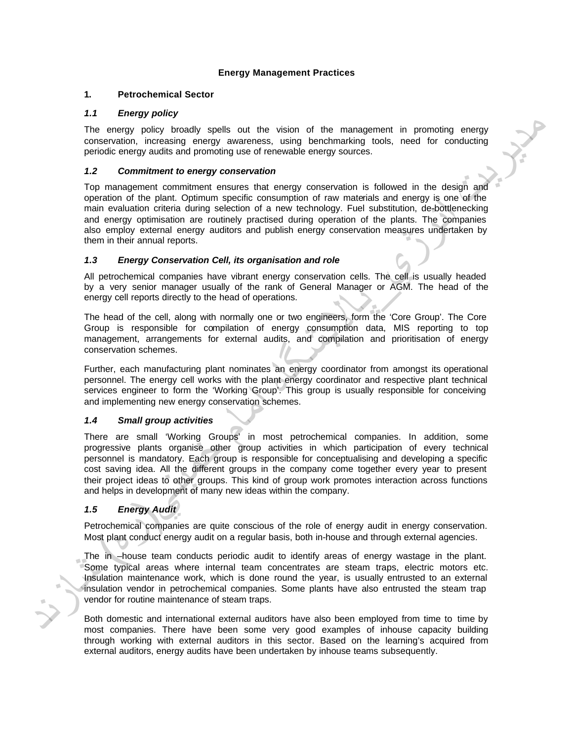## **Energy Management Practices**

#### **1. Petrochemical Sector**

### *1.1 Energy policy*

The energy policy broadly spells out the vision of the management in promoting energy conservation, increasing energy awareness, using benchmarking tools, need for conducting periodic energy audits and promoting use of renewable energy sources.

### *1.2 Commitment to energy conservation*

Top management commitment ensures that energy conservation is followed in the design and operation of the plant. Optimum specific consumption of raw materials and energy is one of the main evaluation criteria during selection of a new technology. Fuel substitution, de-bottlenecking and energy optimisation are routinely practised during operation of the plants. The companies also employ external energy auditors and publish energy conservation measures undertaken by them in their annual reports.

### *1.3 Energy Conservation Cell, its organisation and role*

All petrochemical companies have vibrant energy conservation cells. The cell is usually headed by a very senior manager usually of the rank of General Manager or AGM. The head of the energy cell reports directly to the head of operations.

The head of the cell, along with normally one or two engineers, form the 'Core Group'. The Core Group is responsible for compilation of energy consumption data, MIS reporting to top management, arrangements for external audits, and compilation and prioritisation of energy conservation schemes.

Further, each manufacturing plant nominates an energy coordinator from amongst its operational personnel. The energy cell works with the plant energy coordinator and respective plant technical services engineer to form the 'Working Group'. This group is usually responsible for conceiving and implementing new energy conservation schemes.

### *1.4 Small group activities*

There are small 'Working Groups' in most petrochemical companies. In addition, some progressive plants organise other group activities in which participation of every technical personnel is mandatory. Each group is responsible for conceptualising and developing a specific cost saving idea. All the different groups in the company come together every year to present their project ideas to other groups. This kind of group work promotes interaction across functions and helps in development of many new ideas within the company. energy cell reports directly to the head of operations.<br>
The head of the cell, along with normally one of two engineers, form the C<br>
Group is responsible for complication of energy consumption data, M<br>
management, arrangem

# *1.5 Energy Audit*

Petrochemical companies are quite conscious of the role of energy audit in energy conservation. Most plant conduct energy audit on a regular basis, both in-house and through external agencies.

The in –house team conducts periodic audit to identify areas of energy wastage in the plant. Some typical areas where internal team concentrates are steam traps, electric motors etc. Insulation maintenance work, which is done round the year, is usually entrusted to an external insulation vendor in petrochemical companies. Some plants have also entrusted the steam trap vendor for routine maintenance of steam traps.

Both domestic and international external auditors have also been employed from time to time by most companies. There have been some very good examples of inhouse capacity building through working with external auditors in this sector. Based on the learning's acquired from external auditors, energy audits have been undertaken by inhouse teams subsequently.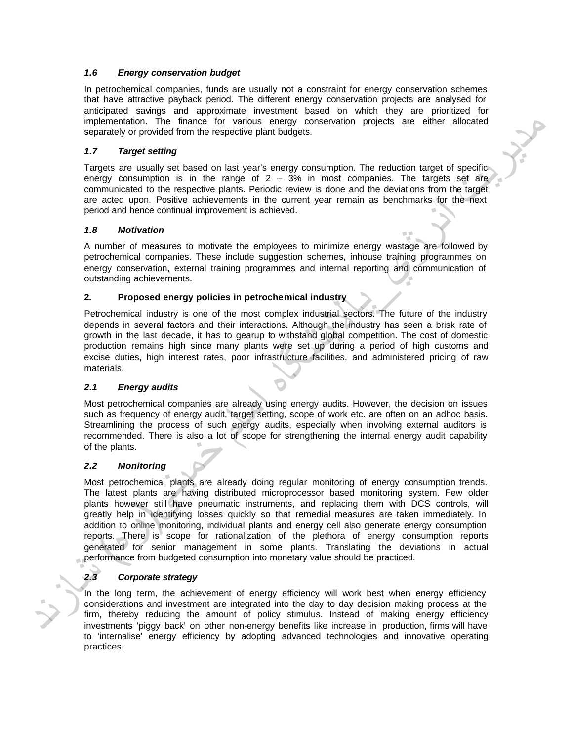### *1.6 Energy conservation budget*

In petrochemical companies, funds are usually not a constraint for energy conservation schemes that have attractive payback period. The different energy conservation projects are analysed for anticipated savings and approximate investment based on which they are prioritized for implementation. The finance for various energy conservation projects are either allocated separately or provided from the respective plant budgets.

## *1.7 Target setting*

Targets are usually set based on last year's energy consumption. The reduction target of specific energy consumption is in the range of  $2 - 3\%$  in most companies. The targets set are communicated to the respective plants. Periodic review is done and the deviations from the target are acted upon. Positive achievements in the current year remain as benchmarks for the next period and hence continual improvement is achieved.

### *1.8 Motivation*

A number of measures to motivate the employees to minimize energy wastage are followed by petrochemical companies. These include suggestion schemes, inhouse training programmes on energy conservation, external training programmes and internal reporting and communication of outstanding achievements.

### **2. Proposed energy policies in petrochemical industry**

Petrochemical industry is one of the most complex industrial sectors. The future of the industry depends in several factors and their interactions. Although the industry has seen a brisk rate of growth in the last decade, it has to gearup to withstand global competition. The cost of domestic production remains high since many plants were set up during a period of high customs and excise duties, high interest rates, poor infrastructure facilities, and administered pricing of raw materials.

### *2.1 Energy audits*

Most petrochemical companies are already using energy audits. However, the decision on issues such as frequency of energy audit, target setting, scope of work etc. are often on an adhoc basis. Streamlining the process of such energy audits, especially when involving external auditors is recommended. There is also a lot of scope for strengthening the internal energy audit capability of the plants.

### *2.2 Monitoring*

Most petrochemical plants are already doing regular monitoring of energy consumption trends. The latest plants are having distributed microprocessor based monitoring system. Few older plants however still have pneumatic instruments, and replacing them with DCS controls, will greatly help in identifying losses quickly so that remedial measures are taken immediately. In addition to online monitoring, individual plants and energy cell also generate energy consumption reports. There is scope for rationalization of the plethora of energy consumption reports generated for senior management in some plants. Translating the deviations in actual performance from budgeted consumption into monetary value should be practiced. 2. Proposed energy policies in petrochemical industry<br>
petrochemical industry<br>
petrochemical industry is one of the most complex industrial sectors. The d<br>
depends in several decoto, it has to group to windshing global com

# *2.3 Corporate strategy*

In the long term, the achievement of energy efficiency will work best when energy efficiency considerations and investment are integrated into the day to day decision making process at the firm, thereby reducing the amount of policy stimulus. Instead of making energy efficiency investments 'piggy back' on other non-energy benefits like increase in production, firms will have to 'internalise' energy efficiency by adopting advanced technologies and innovative operating practices.